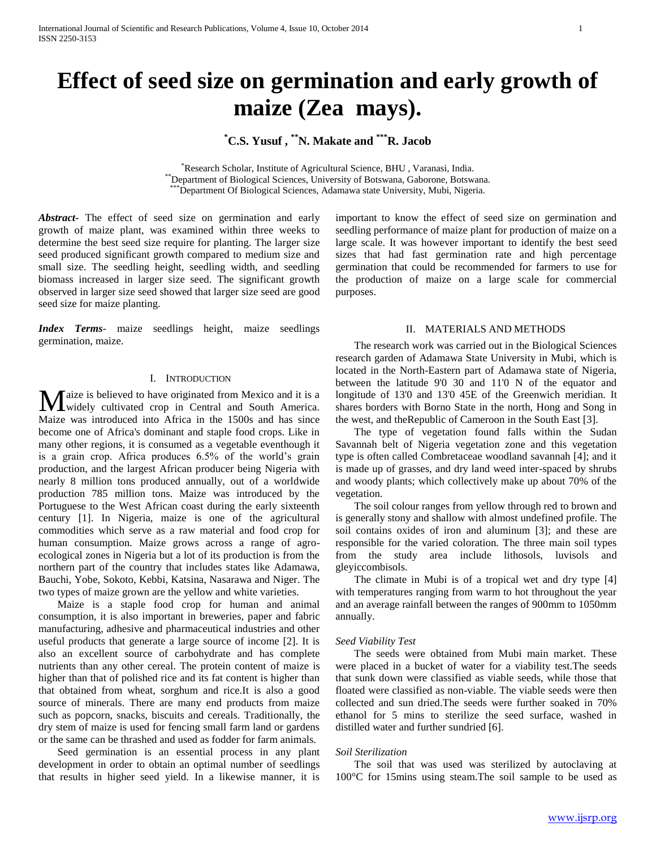# **Effect of seed size on germination and early growth of maize (Zea mays).**

## **\*C.S. Yusuf , \*\*N. Makate and \*\*\*R. Jacob**

\*Research Scholar, Institute of Agricultural Science, BHU , Varanasi, India. \*\*Department of Biological Sciences, University of Botswana, Gaborone, Botswana. \*Department Of Biological Sciences, Adamawa state University, Mubi, Nigeria.

*Abstract***-** The effect of seed size on germination and early growth of maize plant, was examined within three weeks to determine the best seed size require for planting. The larger size seed produced significant growth compared to medium size and small size. The seedling height, seedling width, and seedling biomass increased in larger size seed. The significant growth observed in larger size seed showed that larger size seed are good seed size for maize planting.

*Index Terms*- maize seedlings height, maize seedlings germination, maize.

## I. INTRODUCTION

**T** aize is believed to have originated from Mexico and it is a **M** aize is believed to have originated from Mexico and it is a widely cultivated crop in Central and South America. Maize was introduced into Africa in the 1500s and has since become one of Africa's dominant and staple food crops. Like in many other regions, it is consumed as a vegetable eventhough it is a grain crop. Africa produces 6.5% of the world's grain production, and the largest African producer being Nigeria with nearly 8 million tons produced annually, out of a worldwide production 785 million tons. Maize was introduced by the Portuguese to the West African coast during the early sixteenth century [1]. In Nigeria, maize is one of the agricultural commodities which serve as a raw material and food crop for human consumption. Maize grows across a range of agroecological zones in Nigeria but a lot of its production is from the northern part of the country that includes states like Adamawa, Bauchi, Yobe, Sokoto, Kebbi, Katsina, Nasarawa and Niger. The two types of maize grown are the yellow and white varieties.

 Maize is a staple food crop for human and animal consumption, it is also important in breweries, paper and fabric manufacturing, adhesive and pharmaceutical industries and other useful products that generate a large source of income [2]. It is also an excellent source of carbohydrate and has complete nutrients than any other cereal. The protein content of maize is higher than that of polished rice and its fat content is higher than that obtained from wheat, sorghum and rice.It is also a good source of minerals. There are many end products from maize such as popcorn, snacks, biscuits and cereals. Traditionally, the dry stem of maize is used for fencing small farm land or gardens or the same can be thrashed and used as fodder for farm animals.

 Seed germination is an essential process in any plant development in order to obtain an optimal number of seedlings that results in higher seed yield. In a likewise manner, it is

important to know the effect of seed size on germination and seedling performance of maize plant for production of maize on a large scale. It was however important to identify the best seed sizes that had fast germination rate and high percentage germination that could be recommended for farmers to use for the production of maize on a large scale for commercial purposes.

### II. MATERIALS AND METHODS

 The research work was carried out in the Biological Sciences research garden of Adamawa State University in Mubi, which is located in the North-Eastern part of Adamawa state of Nigeria, between the latitude 9'0 30 and 11'0 N of the equator and longitude of 13'0 and 13'0 45E of the Greenwich meridian. It shares borders with Borno State in the north, Hong and Song in the west, and theRepublic of Cameroon in the South East [3].

 The type of vegetation found falls within the Sudan Savannah belt of Nigeria vegetation zone and this vegetation type is often called Combretaceae woodland savannah [4]; and it is made up of grasses, and dry land weed inter-spaced by shrubs and woody plants; which collectively make up about 70% of the vegetation.

 The soil colour ranges from yellow through red to brown and is generally stony and shallow with almost undefined profile. The soil contains oxides of iron and aluminum [3]; and these are responsible for the varied coloration. The three main soil types from the study area include lithosols, luvisols and gleyiccombisols.

 The climate in Mubi is of a tropical wet and dry type [4] with temperatures ranging from warm to hot throughout the year and an average rainfall between the ranges of 900mm to 1050mm annually.

#### *Seed Viability Test*

 The seeds were obtained from Mubi main market. These were placed in a bucket of water for a viability test.The seeds that sunk down were classified as viable seeds, while those that floated were classified as non-viable. The viable seeds were then collected and sun dried.The seeds were further soaked in 70% ethanol for 5 mins to sterilize the seed surface, washed in distilled water and further sundried [6].

#### *Soil Sterilization*

 The soil that was used was sterilized by autoclaving at 100°C for 15mins using steam.The soil sample to be used as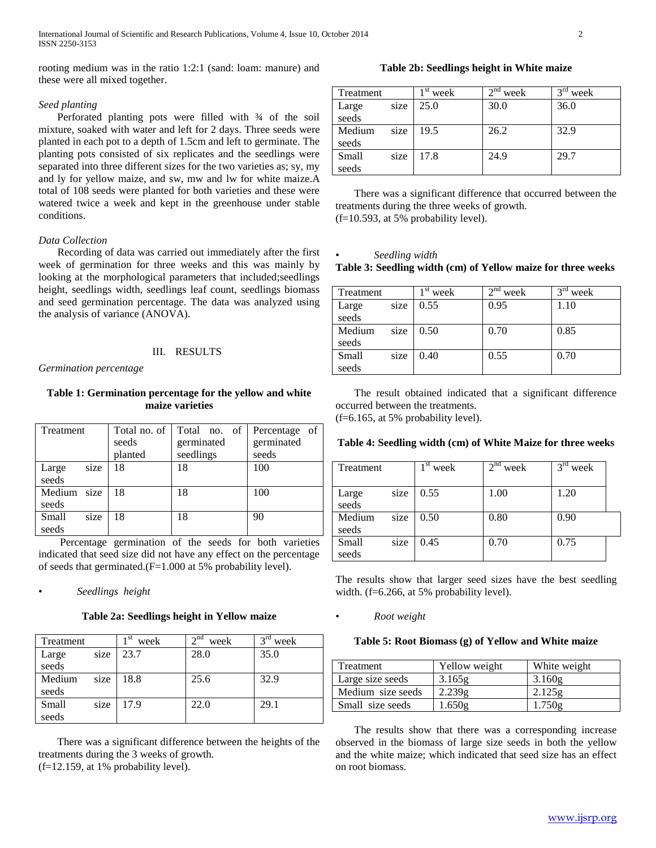rooting medium was in the ratio 1:2:1 (sand: loam: manure) and these were all mixed together.

## *Seed planting*

Perforated planting pots were filled with  $\frac{3}{4}$  of the soil mixture, soaked with water and left for 2 days. Three seeds were planted in each pot to a depth of 1.5cm and left to germinate. The planting pots consisted of six replicates and the seedlings were separated into three different sizes for the two varieties as; sy, my and ly for yellow maize, and sw, mw and lw for white maize.A total of 108 seeds were planted for both varieties and these were watered twice a week and kept in the greenhouse under stable conditions.

## *Data Collection*

 Recording of data was carried out immediately after the first week of germination for three weeks and this was mainly by looking at the morphological parameters that included;seedlings height, seedlings width, seedlings leaf count, seedlings biomass and seed germination percentage. The data was analyzed using the analysis of variance (ANOVA).

## III. RESULTS

*Germination percentage* 

## **Table 1: Germination percentage for the yellow and white maize varieties**

| Treatment              | Total no. of<br>seeds<br>planted | Total no. of<br>germinated<br>seedlings | Percentage of<br>germinated<br>seeds |
|------------------------|----------------------------------|-----------------------------------------|--------------------------------------|
| size<br>Large<br>seeds | 18                               | 18                                      | 100                                  |
| Medium size<br>seeds   | 18                               | 18                                      | 100                                  |
| size<br>Small<br>seeds | 18                               | 18                                      | 90                                   |

 Percentage germination of the seeds for both varieties indicated that seed size did not have any effect on the percentage of seeds that germinated.(F=1.000 at 5% probability level).

#### • *Seedlings height*

#### **Table 2a: Seedlings height in Yellow maize**

| Treatment |      | 1 st<br>week | $\gamma$ nd<br>week | week |
|-----------|------|--------------|---------------------|------|
| Large     | size | 23.7         | 28.0                | 35.0 |
| seeds     |      |              |                     |      |
| Medium    | size | 18.8         | 25.6                | 32.9 |
| seeds     |      |              |                     |      |
| Small     | size | 17.9         | 22.0                | 29.1 |
| seeds     |      |              |                     |      |

 There was a significant difference between the heights of the treatments during the 3 weeks of growth. (f=12.159, at 1% probability level).

## **Table 2b: Seedlings height in White maize**

| Treatment |      | 1 St<br>week | $\gamma$ nd<br>week | $3^{\text{rd}}$<br>week |
|-----------|------|--------------|---------------------|-------------------------|
| Large     | size | 25.0         | 30.0                | 36.0                    |
| seeds     |      |              |                     |                         |
| Medium    | size | 19.5         | 26.2                | 32.9                    |
| seeds     |      |              |                     |                         |
| Small     | size | 17.8         | 24.9                | 29.7                    |
| seeds     |      |              |                     |                         |

 There was a significant difference that occurred between the treatments during the three weeks of growth. (f=10.593, at 5% probability level).

• *Seedling width*

## **Table 3: Seedling width (cm) of Yellow maize for three weeks**

| Treatment |      | 1 St<br>week | $\gamma$ nd<br>week | $2^{\text{rd}}$<br>week |
|-----------|------|--------------|---------------------|-------------------------|
| Large     | size | 0.55         | 0.95                | 1.10                    |
| seeds     |      |              |                     |                         |
| Medium    | size | 0.50         | 0.70                | 0.85                    |
| seeds     |      |              |                     |                         |
| Small     | size | 0.40         | 0.55                | 0.70                    |
| seeds     |      |              |                     |                         |

 The result obtained indicated that a significant difference occurred between the treatments. (f=6.165, at 5% probability level).

#### **Table 4: Seedling width (cm) of White Maize for three weeks**

| Treatment       |      | st<br>week | 2 <sup>nd</sup><br>week | $3^{rd}$<br>week |  |
|-----------------|------|------------|-------------------------|------------------|--|
| Large<br>seeds  | size | 0.55       | 1.00                    | 1.20             |  |
| Medium<br>seeds | size | 0.50       | 0.80                    | 0.90             |  |
| Small<br>seeds  | size | 0.45       | 0.70                    | 0.75             |  |

The results show that larger seed sizes have the best seedling width. (f=6.266, at 5% probability level).

• *Root weight*

## **Table 5: Root Biomass (g) of Yellow and White maize**

| Treatment         | Yellow weight | White weight |
|-------------------|---------------|--------------|
| Large size seeds  | 3.165g        | 3.160g       |
| Medium size seeds | 2.239g        | 2.125g       |
| Small size seeds  | 1.650g        | 1.750g       |

 The results show that there was a corresponding increase observed in the biomass of large size seeds in both the yellow and the white maize; which indicated that seed size has an effect on root biomass.